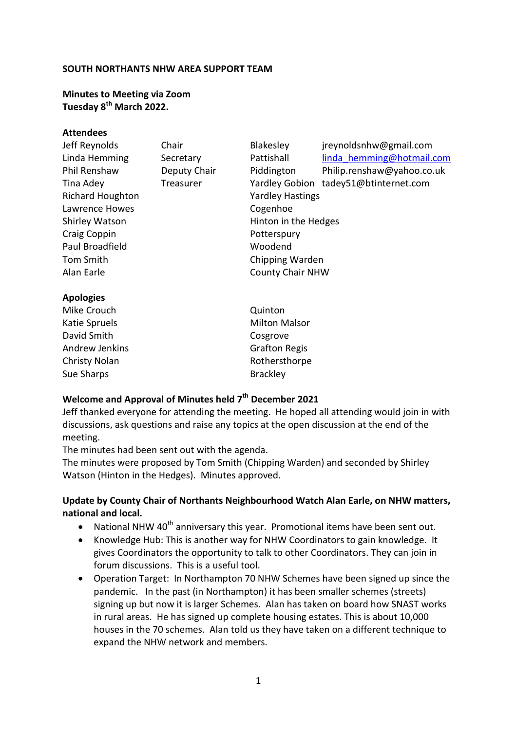## **SOUTH NORTHANTS NHW AREA SUPPORT TEAM**

## **Minutes to Meeting via Zoom Tuesday 8th March 2022.**

### **Attendees**

| Jeff Reynolds           | Chair        | Blakesley               | jreynoldsnhw@gmail.com     |
|-------------------------|--------------|-------------------------|----------------------------|
| Linda Hemming           | Secretary    | Pattishall              | linda hemming@hotmail.com  |
| <b>Phil Renshaw</b>     | Deputy Chair | Piddington              | Philip.renshaw@yahoo.co.uk |
| Tina Adey               | Treasurer    | <b>Yardley Gobion</b>   | tadey51@btinternet.com     |
| <b>Richard Houghton</b> |              | <b>Yardley Hastings</b> |                            |
| Lawrence Howes          |              | Cogenhoe                |                            |
| Shirley Watson          |              | Hinton in the Hedges    |                            |
| Craig Coppin            |              | Potterspury             |                            |
| Paul Broadfield         |              | Woodend                 |                            |
| Tom Smith               |              | Chipping Warden         |                            |
| Alan Earle              |              | <b>County Chair NHW</b> |                            |
| <b>Apologies</b>        |              |                         |                            |
| Mike Crouch             |              | Quinton                 |                            |
| Katie Spruels           |              | <b>Milton Malsor</b>    |                            |

David Smith Cosgrove Andrew Jenkins Grafton Regis Christy Nolan **Rothersthorpe** Sue Sharps Brackley

# **Welcome and Approval of Minutes held 7th December 2021**

Jeff thanked everyone for attending the meeting. He hoped all attending would join in with discussions, ask questions and raise any topics at the open discussion at the end of the meeting.

The minutes had been sent out with the agenda.

The minutes were proposed by Tom Smith (Chipping Warden) and seconded by Shirley Watson (Hinton in the Hedges). Minutes approved.

# **Update by County Chair of Northants Neighbourhood Watch Alan Earle, on NHW matters, national and local.**

- National NHW  $40<sup>th</sup>$  anniversary this year. Promotional items have been sent out.
- Knowledge Hub: This is another way for NHW Coordinators to gain knowledge. It gives Coordinators the opportunity to talk to other Coordinators. They can join in forum discussions. This is a useful tool.
- Operation Target: In Northampton 70 NHW Schemes have been signed up since the pandemic. In the past (in Northampton) it has been smaller schemes (streets) signing up but now it is larger Schemes. Alan has taken on board how SNAST works in rural areas. He has signed up complete housing estates. This is about 10,000 houses in the 70 schemes. Alan told us they have taken on a different technique to expand the NHW network and members.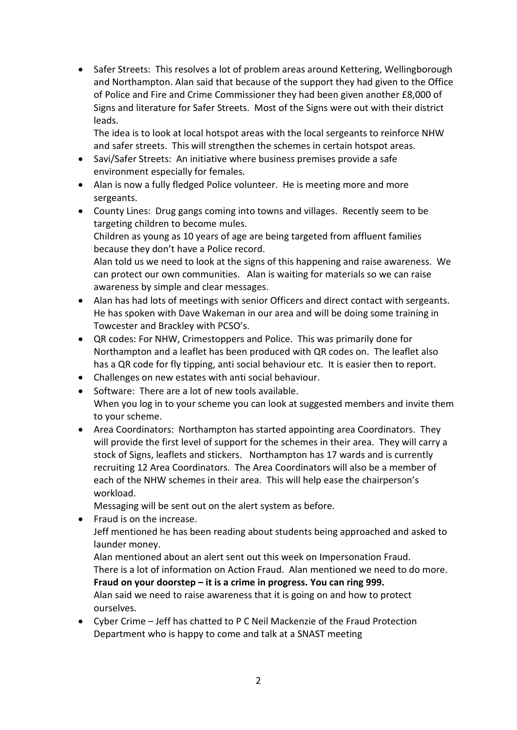• Safer Streets: This resolves a lot of problem areas around Kettering, Wellingborough and Northampton. Alan said that because of the support they had given to the Office of Police and Fire and Crime Commissioner they had been given another £8,000 of Signs and literature for Safer Streets. Most of the Signs were out with their district leads.

The idea is to look at local hotspot areas with the local sergeants to reinforce NHW and safer streets. This will strengthen the schemes in certain hotspot areas.

- Savi/Safer Streets: An initiative where business premises provide a safe environment especially for females.
- Alan is now a fully fledged Police volunteer. He is meeting more and more sergeants.
- County Lines: Drug gangs coming into towns and villages. Recently seem to be targeting children to become mules.

Children as young as 10 years of age are being targeted from affluent families because they don't have a Police record.

Alan told us we need to look at the signs of this happening and raise awareness. We can protect our own communities. Alan is waiting for materials so we can raise awareness by simple and clear messages.

- Alan has had lots of meetings with senior Officers and direct contact with sergeants. He has spoken with Dave Wakeman in our area and will be doing some training in Towcester and Brackley with PCSO's.
- QR codes: For NHW, Crimestoppers and Police. This was primarily done for Northampton and a leaflet has been produced with QR codes on. The leaflet also has a QR code for fly tipping, anti social behaviour etc. It is easier then to report.
- Challenges on new estates with anti social behaviour.
- Software: There are a lot of new tools available. When you log in to your scheme you can look at suggested members and invite them to your scheme.
- Area Coordinators: Northampton has started appointing area Coordinators. They will provide the first level of support for the schemes in their area. They will carry a stock of Signs, leaflets and stickers. Northampton has 17 wards and is currently recruiting 12 Area Coordinators. The Area Coordinators will also be a member of each of the NHW schemes in their area. This will help ease the chairperson's workload.

Messaging will be sent out on the alert system as before.

- Fraud is on the increase. Jeff mentioned he has been reading about students being approached and asked to launder money. Alan mentioned about an alert sent out this week on Impersonation Fraud. There is a lot of information on Action Fraud. Alan mentioned we need to do more. **Fraud on your doorstep – it is a crime in progress. You can ring 999.** Alan said we need to raise awareness that it is going on and how to protect ourselves.
- Cyber Crime Jeff has chatted to P C Neil Mackenzie of the Fraud Protection Department who is happy to come and talk at a SNAST meeting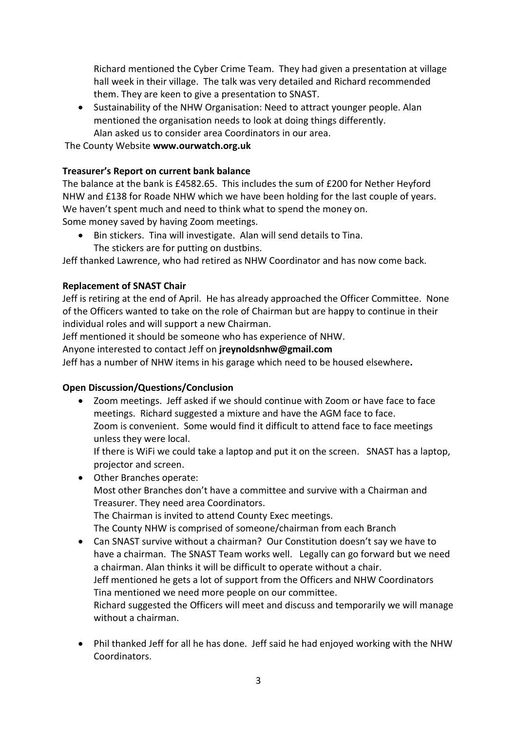Richard mentioned the Cyber Crime Team. They had given a presentation at village hall week in their village. The talk was very detailed and Richard recommended them. They are keen to give a presentation to SNAST.

• Sustainability of the NHW Organisation: Need to attract younger people. Alan mentioned the organisation needs to look at doing things differently. Alan asked us to consider area Coordinators in our area.

The County Website **www.ourwatch.org.uk**

# **Treasurer's Report on current bank balance**

The balance at the bank is £4582.65. This includes the sum of £200 for Nether Heyford NHW and £138 for Roade NHW which we have been holding for the last couple of years. We haven't spent much and need to think what to spend the money on. Some money saved by having Zoom meetings.

• Bin stickers. Tina will investigate. Alan will send details to Tina. The stickers are for putting on dustbins.

Jeff thanked Lawrence, who had retired as NHW Coordinator and has now come back.

# **Replacement of SNAST Chair**

Jeff is retiring at the end of April. He has already approached the Officer Committee. None of the Officers wanted to take on the role of Chairman but are happy to continue in their individual roles and will support a new Chairman.

Jeff mentioned it should be someone who has experience of NHW.

Anyone interested to contact Jeff on **jreynoldsnhw@gmail.com**

Jeff has a number of NHW items in his garage which need to be housed elsewhere**.**

## **Open Discussion/Questions/Conclusion**

• Zoom meetings. Jeff asked if we should continue with Zoom or have face to face meetings. Richard suggested a mixture and have the AGM face to face. Zoom is convenient. Some would find it difficult to attend face to face meetings unless they were local.

If there is WiFi we could take a laptop and put it on the screen. SNAST has a laptop, projector and screen.

- Other Branches operate: Most other Branches don't have a committee and survive with a Chairman and Treasurer. They need area Coordinators. The Chairman is invited to attend County Exec meetings. The County NHW is comprised of someone/chairman from each Branch • Can SNAST survive without a chairman? Our Constitution doesn't say we have to
- have a chairman. The SNAST Team works well. Legally can go forward but we need a chairman. Alan thinks it will be difficult to operate without a chair. Jeff mentioned he gets a lot of support from the Officers and NHW Coordinators Tina mentioned we need more people on our committee. Richard suggested the Officers will meet and discuss and temporarily we will manage without a chairman.
- Phil thanked Jeff for all he has done. Jeff said he had enjoyed working with the NHW Coordinators.